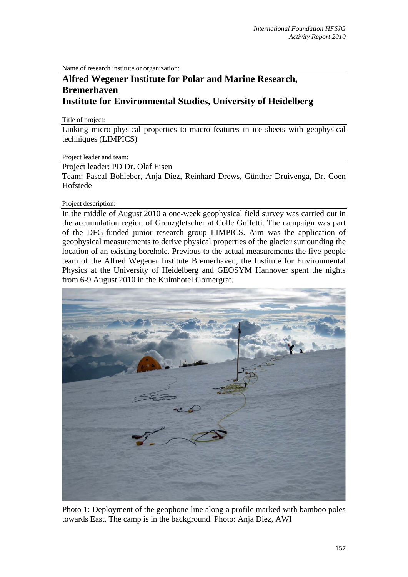Name of research institute or organization:

## **Alfred Wegener Institute for Polar and Marine Research, Bremerhaven Institute for Environmental Studies, University of Heidelberg**

Title of project:

Linking micro-physical properties to macro features in ice sheets with geophysical techniques (LIMPICS)

Project leader and team:

Project leader: PD Dr. Olaf Eisen

Team: Pascal Bohleber, Anja Diez, Reinhard Drews, Günther Druivenga, Dr. Coen Hofstede

Project description:

In the middle of August 2010 a one-week geophysical field survey was carried out in the accumulation region of Grenzgletscher at Colle Gnifetti. The campaign was part of the DFG-funded junior research group LIMPICS. Aim was the application of geophysical measurements to derive physical properties of the glacier surrounding the location of an existing borehole. Previous to the actual measurements the five-people team of the Alfred Wegener Institute Bremerhaven, the Institute for Environmental Physics at the University of Heidelberg and GEOSYM Hannover spent the nights from 6-9 August 2010 in the Kulmhotel Gornergrat.



Photo 1: Deployment of the geophone line along a profile marked with bamboo poles towards East. The camp is in the background. Photo: Anja Diez, AWI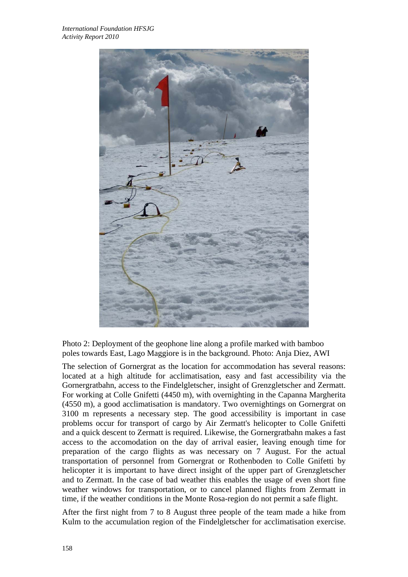

Photo 2: Deployment of the geophone line along a profile marked with bamboo poles towards East, Lago Maggiore is in the background. Photo: Anja Diez, AWI

The selection of Gornergrat as the location for accommodation has several reasons: located at a high altitude for acclimatisation, easy and fast accessibility via the Gornergratbahn, access to the Findelgletscher, insight of Grenzgletscher and Zermatt. For working at Colle Gnifetti (4450 m), with overnighting in the Capanna Margherita (4550 m), a good acclimatisation is mandatory. Two overnightings on Gornergrat on 3100 m represents a necessary step. The good accessibility is important in case problems occur for transport of cargo by Air Zermatt's helicopter to Colle Gnifetti and a quick descent to Zermatt is required. Likewise, the Gornergratbahn makes a fast access to the accomodation on the day of arrival easier, leaving enough time for preparation of the cargo flights as was necessary on 7 August. For the actual transportation of personnel from Gornergrat or Rothenboden to Colle Gnifetti by helicopter it is important to have direct insight of the upper part of Grenzgletscher and to Zermatt. In the case of bad weather this enables the usage of even short fine weather windows for transportation, or to cancel planned flights from Zermatt in time, if the weather conditions in the Monte Rosa-region do not permit a safe flight.

After the first night from 7 to 8 August three people of the team made a hike from Kulm to the accumulation region of the Findelgletscher for acclimatisation exercise.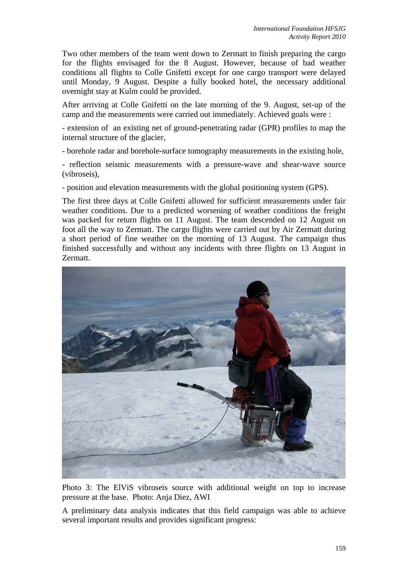Two other members of the team went down to Zermatt to finish preparing the cargo for the flights envisaged for the 8 August. However, because of bad weather conditions all flights to Colle Gnifetti except for one cargo transport were delayed until Monday, 9 August. Despite a fully booked hotel, the necessary additional overnight stay at Kulm could be provided.

After arriving at Colle Gnifetti on the late morning of the 9. August, set-up of the camp and the measurements were carried out immediately. Achieved goals were :

- extension of an existing net of ground-penetrating radar (GPR) profiles to map the internal structure of the glacier,

- borehole radar and borehole-surface tomography measurements in the existing hole,

- reflection seismic measurements with a pressure-wave and shear-wave source (vibroseis),

- position and elevation measurements with the global positioning system (GPS).

The first three days at Colle Gnifetti allowed for sufficient measurements under fair weather conditions. Due to a predicted worsening of weather conditions the freight was packed for return flights on 11 August. The team descended on 12 August on foot all the way to Zermatt. The cargo flights were carried out by Air Zermatt during a short period of fine weather on the morning of 13 August. The campaign thus finished successfully and without any incidents with three flights on 13 August in Zermatt.



Photo 3: The ElViS vibroseis source with additional weight on top to increase pressure at the base. Photo: Anja Diez, AWI

A preliminary data analysis indicates that this field campaign was able to achieve several important results and provides significant progress: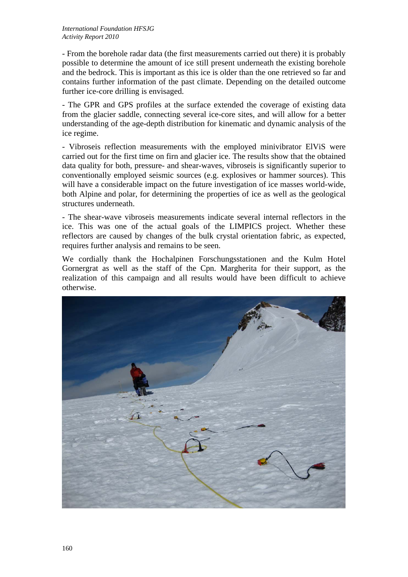- From the borehole radar data (the first measurements carried out there) it is probably possible to determine the amount of ice still present underneath the existing borehole and the bedrock. This is important as this ice is older than the one retrieved so far and contains further information of the past climate. Depending on the detailed outcome further ice-core drilling is envisaged.

- The GPR and GPS profiles at the surface extended the coverage of existing data from the glacier saddle, connecting several ice-core sites, and will allow for a better understanding of the age-depth distribution for kinematic and dynamic analysis of the ice regime.

- Vibroseis reflection measurements with the employed minivibrator ElViS were carried out for the first time on firn and glacier ice. The results show that the obtained data quality for both, pressure- and shear-waves, vibroseis is significantly superior to conventionally employed seismic sources (e.g. explosives or hammer sources). This will have a considerable impact on the future investigation of ice masses world-wide, both Alpine and polar, for determining the properties of ice as well as the geological structures underneath.

- The shear-wave vibroseis measurements indicate several internal reflectors in the ice. This was one of the actual goals of the LIMPICS project. Whether these reflectors are caused by changes of the bulk crystal orientation fabric, as expected, requires further analysis and remains to be seen.

We cordially thank the Hochalpinen Forschungsstationen and the Kulm Hotel Gornergrat as well as the staff of the Cpn. Margherita for their support, as the realization of this campaign and all results would have been difficult to achieve otherwise.